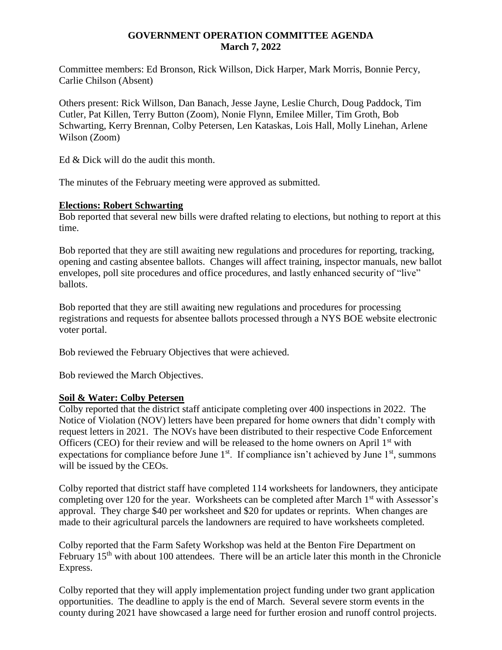#### **GOVERNMENT OPERATION COMMITTEE AGENDA March 7, 2022**

Committee members: Ed Bronson, Rick Willson, Dick Harper, Mark Morris, Bonnie Percy, Carlie Chilson (Absent)

Others present: Rick Willson, Dan Banach, Jesse Jayne, Leslie Church, Doug Paddock, Tim Cutler, Pat Killen, Terry Button (Zoom), Nonie Flynn, Emilee Miller, Tim Groth, Bob Schwarting, Kerry Brennan, Colby Petersen, Len Kataskas, Lois Hall, Molly Linehan, Arlene Wilson (Zoom)

Ed & Dick will do the audit this month.

The minutes of the February meeting were approved as submitted.

#### **Elections: Robert Schwarting**

Bob reported that several new bills were drafted relating to elections, but nothing to report at this time.

Bob reported that they are still awaiting new regulations and procedures for reporting, tracking, opening and casting absentee ballots. Changes will affect training, inspector manuals, new ballot envelopes, poll site procedures and office procedures, and lastly enhanced security of "live" ballots.

Bob reported that they are still awaiting new regulations and procedures for processing registrations and requests for absentee ballots processed through a NYS BOE website electronic voter portal.

Bob reviewed the February Objectives that were achieved.

Bob reviewed the March Objectives.

### **Soil & Water: Colby Petersen**

Colby reported that the district staff anticipate completing over 400 inspections in 2022. The Notice of Violation (NOV) letters have been prepared for home owners that didn't comply with request letters in 2021. The NOVs have been distributed to their respective Code Enforcement Officers (CEO) for their review and will be released to the home owners on April  $1<sup>st</sup>$  with expectations for compliance before June  $1<sup>st</sup>$ . If compliance isn't achieved by June  $1<sup>st</sup>$ , summons will be issued by the CEOs.

Colby reported that district staff have completed 114 worksheets for landowners, they anticipate completing over 120 for the year. Worksheets can be completed after March 1<sup>st</sup> with Assessor's approval. They charge \$40 per worksheet and \$20 for updates or reprints. When changes are made to their agricultural parcels the landowners are required to have worksheets completed.

Colby reported that the Farm Safety Workshop was held at the Benton Fire Department on February 15<sup>th</sup> with about 100 attendees. There will be an article later this month in the Chronicle Express.

Colby reported that they will apply implementation project funding under two grant application opportunities. The deadline to apply is the end of March. Several severe storm events in the county during 2021 have showcased a large need for further erosion and runoff control projects.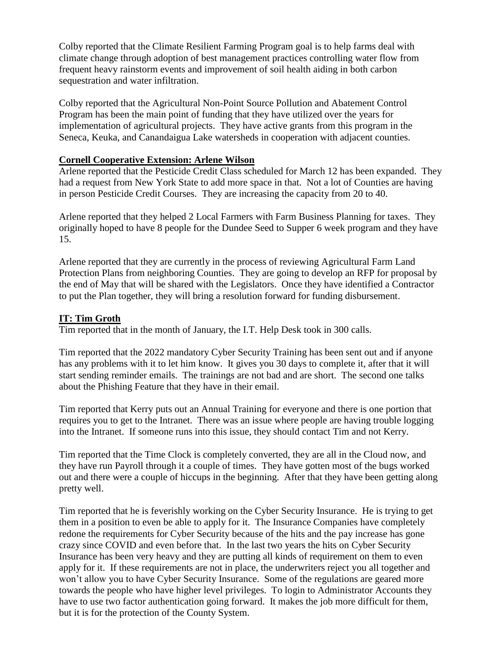Colby reported that the Climate Resilient Farming Program goal is to help farms deal with climate change through adoption of best management practices controlling water flow from frequent heavy rainstorm events and improvement of soil health aiding in both carbon sequestration and water infiltration.

Colby reported that the Agricultural Non-Point Source Pollution and Abatement Control Program has been the main point of funding that they have utilized over the years for implementation of agricultural projects. They have active grants from this program in the Seneca, Keuka, and Canandaigua Lake watersheds in cooperation with adjacent counties.

#### **Cornell Cooperative Extension: Arlene Wilson**

Arlene reported that the Pesticide Credit Class scheduled for March 12 has been expanded. They had a request from New York State to add more space in that. Not a lot of Counties are having in person Pesticide Credit Courses. They are increasing the capacity from 20 to 40.

Arlene reported that they helped 2 Local Farmers with Farm Business Planning for taxes. They originally hoped to have 8 people for the Dundee Seed to Supper 6 week program and they have 15.

Arlene reported that they are currently in the process of reviewing Agricultural Farm Land Protection Plans from neighboring Counties. They are going to develop an RFP for proposal by the end of May that will be shared with the Legislators. Once they have identified a Contractor to put the Plan together, they will bring a resolution forward for funding disbursement.

### **IT: Tim Groth**

Tim reported that in the month of January, the I.T. Help Desk took in 300 calls.

Tim reported that the 2022 mandatory Cyber Security Training has been sent out and if anyone has any problems with it to let him know. It gives you 30 days to complete it, after that it will start sending reminder emails. The trainings are not bad and are short. The second one talks about the Phishing Feature that they have in their email.

Tim reported that Kerry puts out an Annual Training for everyone and there is one portion that requires you to get to the Intranet. There was an issue where people are having trouble logging into the Intranet. If someone runs into this issue, they should contact Tim and not Kerry.

Tim reported that the Time Clock is completely converted, they are all in the Cloud now, and they have run Payroll through it a couple of times. They have gotten most of the bugs worked out and there were a couple of hiccups in the beginning. After that they have been getting along pretty well.

Tim reported that he is feverishly working on the Cyber Security Insurance. He is trying to get them in a position to even be able to apply for it. The Insurance Companies have completely redone the requirements for Cyber Security because of the hits and the pay increase has gone crazy since COVID and even before that. In the last two years the hits on Cyber Security Insurance has been very heavy and they are putting all kinds of requirement on them to even apply for it. If these requirements are not in place, the underwriters reject you all together and won't allow you to have Cyber Security Insurance. Some of the regulations are geared more towards the people who have higher level privileges. To login to Administrator Accounts they have to use two factor authentication going forward. It makes the job more difficult for them, but it is for the protection of the County System.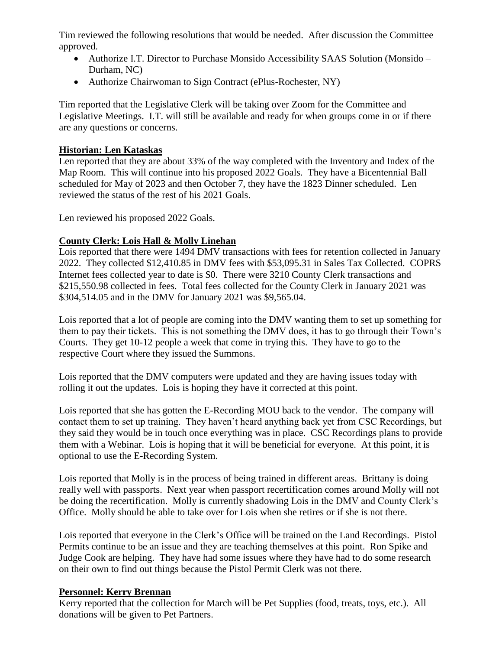Tim reviewed the following resolutions that would be needed. After discussion the Committee approved.

- Authorize I.T. Director to Purchase Monsido Accessibility SAAS Solution (Monsido Durham, NC)
- Authorize Chairwoman to Sign Contract (ePlus-Rochester, NY)

Tim reported that the Legislative Clerk will be taking over Zoom for the Committee and Legislative Meetings. I.T. will still be available and ready for when groups come in or if there are any questions or concerns.

## **Historian: Len Kataskas**

Len reported that they are about 33% of the way completed with the Inventory and Index of the Map Room. This will continue into his proposed 2022 Goals. They have a Bicentennial Ball scheduled for May of 2023 and then October 7, they have the 1823 Dinner scheduled. Len reviewed the status of the rest of his 2021 Goals.

Len reviewed his proposed 2022 Goals.

# **County Clerk: Lois Hall & Molly Linehan**

Lois reported that there were 1494 DMV transactions with fees for retention collected in January 2022. They collected \$12,410.85 in DMV fees with \$53,095.31 in Sales Tax Collected. COPRS Internet fees collected year to date is \$0. There were 3210 County Clerk transactions and \$215,550.98 collected in fees. Total fees collected for the County Clerk in January 2021 was \$304,514.05 and in the DMV for January 2021 was \$9,565.04.

Lois reported that a lot of people are coming into the DMV wanting them to set up something for them to pay their tickets. This is not something the DMV does, it has to go through their Town's Courts. They get 10-12 people a week that come in trying this. They have to go to the respective Court where they issued the Summons.

Lois reported that the DMV computers were updated and they are having issues today with rolling it out the updates. Lois is hoping they have it corrected at this point.

Lois reported that she has gotten the E-Recording MOU back to the vendor. The company will contact them to set up training. They haven't heard anything back yet from CSC Recordings, but they said they would be in touch once everything was in place. CSC Recordings plans to provide them with a Webinar. Lois is hoping that it will be beneficial for everyone. At this point, it is optional to use the E-Recording System.

Lois reported that Molly is in the process of being trained in different areas. Brittany is doing really well with passports. Next year when passport recertification comes around Molly will not be doing the recertification. Molly is currently shadowing Lois in the DMV and County Clerk's Office. Molly should be able to take over for Lois when she retires or if she is not there.

Lois reported that everyone in the Clerk's Office will be trained on the Land Recordings. Pistol Permits continue to be an issue and they are teaching themselves at this point. Ron Spike and Judge Cook are helping. They have had some issues where they have had to do some research on their own to find out things because the Pistol Permit Clerk was not there.

# **Personnel: Kerry Brennan**

Kerry reported that the collection for March will be Pet Supplies (food, treats, toys, etc.). All donations will be given to Pet Partners.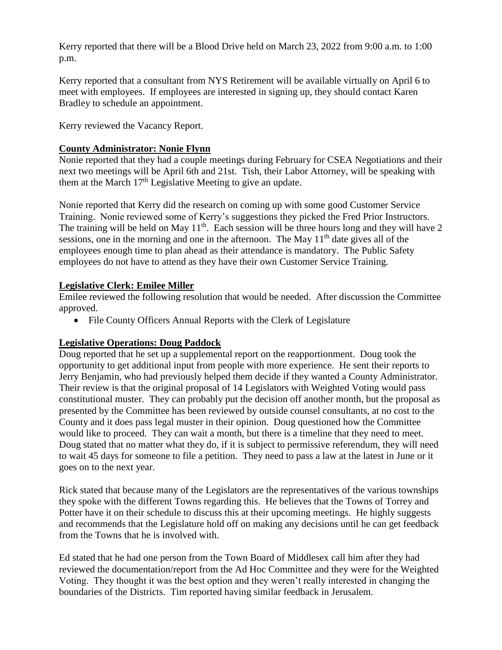Kerry reported that there will be a Blood Drive held on March 23, 2022 from 9:00 a.m. to 1:00 p.m.

Kerry reported that a consultant from NYS Retirement will be available virtually on April 6 to meet with employees. If employees are interested in signing up, they should contact Karen Bradley to schedule an appointment.

Kerry reviewed the Vacancy Report.

## **County Administrator: Nonie Flynn**

Nonie reported that they had a couple meetings during February for CSEA Negotiations and their next two meetings will be April 6th and 21st. Tish, their Labor Attorney, will be speaking with them at the March  $17<sup>th</sup>$  Legislative Meeting to give an update.

Nonie reported that Kerry did the research on coming up with some good Customer Service Training. Nonie reviewed some of Kerry's suggestions they picked the Fred Prior Instructors. The training will be held on May  $11<sup>th</sup>$ . Each session will be three hours long and they will have 2 sessions, one in the morning and one in the afternoon. The May  $11<sup>th</sup>$  date gives all of the employees enough time to plan ahead as their attendance is mandatory. The Public Safety employees do not have to attend as they have their own Customer Service Training.

## **Legislative Clerk: Emilee Miller**

Emilee reviewed the following resolution that would be needed. After discussion the Committee approved.

• File County Officers Annual Reports with the Clerk of Legislature

# **Legislative Operations: Doug Paddock**

Doug reported that he set up a supplemental report on the reapportionment. Doug took the opportunity to get additional input from people with more experience. He sent their reports to Jerry Benjamin, who had previously helped them decide if they wanted a County Administrator. Their review is that the original proposal of 14 Legislators with Weighted Voting would pass constitutional muster. They can probably put the decision off another month, but the proposal as presented by the Committee has been reviewed by outside counsel consultants, at no cost to the County and it does pass legal muster in their opinion. Doug questioned how the Committee would like to proceed. They can wait a month, but there is a timeline that they need to meet. Doug stated that no matter what they do, if it is subject to permissive referendum, they will need to wait 45 days for someone to file a petition. They need to pass a law at the latest in June or it goes on to the next year.

Rick stated that because many of the Legislators are the representatives of the various townships they spoke with the different Towns regarding this. He believes that the Towns of Torrey and Potter have it on their schedule to discuss this at their upcoming meetings. He highly suggests and recommends that the Legislature hold off on making any decisions until he can get feedback from the Towns that he is involved with.

Ed stated that he had one person from the Town Board of Middlesex call him after they had reviewed the documentation/report from the Ad Hoc Committee and they were for the Weighted Voting. They thought it was the best option and they weren't really interested in changing the boundaries of the Districts. Tim reported having similar feedback in Jerusalem.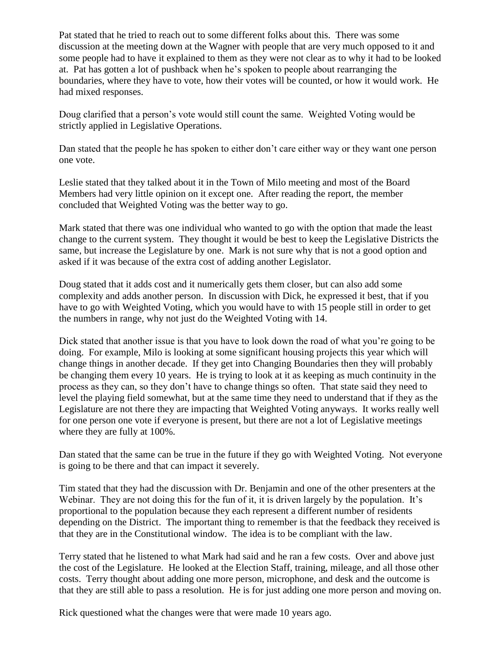Pat stated that he tried to reach out to some different folks about this. There was some discussion at the meeting down at the Wagner with people that are very much opposed to it and some people had to have it explained to them as they were not clear as to why it had to be looked at. Pat has gotten a lot of pushback when he's spoken to people about rearranging the boundaries, where they have to vote, how their votes will be counted, or how it would work. He had mixed responses.

Doug clarified that a person's vote would still count the same. Weighted Voting would be strictly applied in Legislative Operations.

Dan stated that the people he has spoken to either don't care either way or they want one person one vote.

Leslie stated that they talked about it in the Town of Milo meeting and most of the Board Members had very little opinion on it except one. After reading the report, the member concluded that Weighted Voting was the better way to go.

Mark stated that there was one individual who wanted to go with the option that made the least change to the current system. They thought it would be best to keep the Legislative Districts the same, but increase the Legislature by one. Mark is not sure why that is not a good option and asked if it was because of the extra cost of adding another Legislator.

Doug stated that it adds cost and it numerically gets them closer, but can also add some complexity and adds another person. In discussion with Dick, he expressed it best, that if you have to go with Weighted Voting, which you would have to with 15 people still in order to get the numbers in range, why not just do the Weighted Voting with 14.

Dick stated that another issue is that you have to look down the road of what you're going to be doing. For example, Milo is looking at some significant housing projects this year which will change things in another decade. If they get into Changing Boundaries then they will probably be changing them every 10 years. He is trying to look at it as keeping as much continuity in the process as they can, so they don't have to change things so often. That state said they need to level the playing field somewhat, but at the same time they need to understand that if they as the Legislature are not there they are impacting that Weighted Voting anyways. It works really well for one person one vote if everyone is present, but there are not a lot of Legislative meetings where they are fully at 100%.

Dan stated that the same can be true in the future if they go with Weighted Voting. Not everyone is going to be there and that can impact it severely.

Tim stated that they had the discussion with Dr. Benjamin and one of the other presenters at the Webinar. They are not doing this for the fun of it, it is driven largely by the population. It's proportional to the population because they each represent a different number of residents depending on the District. The important thing to remember is that the feedback they received is that they are in the Constitutional window. The idea is to be compliant with the law.

Terry stated that he listened to what Mark had said and he ran a few costs. Over and above just the cost of the Legislature. He looked at the Election Staff, training, mileage, and all those other costs. Terry thought about adding one more person, microphone, and desk and the outcome is that they are still able to pass a resolution. He is for just adding one more person and moving on.

Rick questioned what the changes were that were made 10 years ago.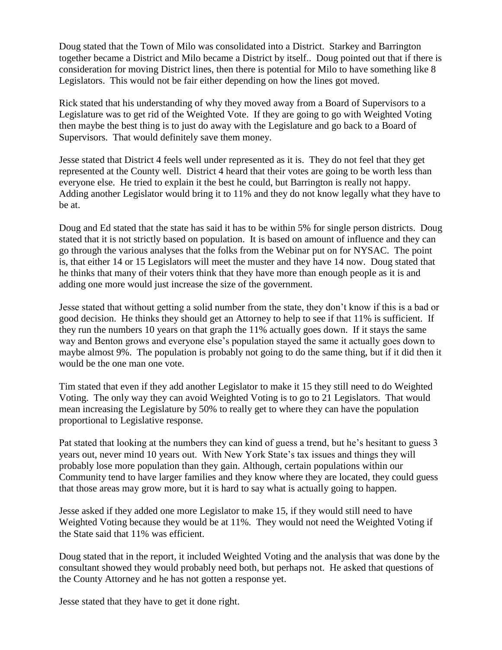Doug stated that the Town of Milo was consolidated into a District. Starkey and Barrington together became a District and Milo became a District by itself.. Doug pointed out that if there is consideration for moving District lines, then there is potential for Milo to have something like 8 Legislators. This would not be fair either depending on how the lines got moved.

Rick stated that his understanding of why they moved away from a Board of Supervisors to a Legislature was to get rid of the Weighted Vote. If they are going to go with Weighted Voting then maybe the best thing is to just do away with the Legislature and go back to a Board of Supervisors. That would definitely save them money.

Jesse stated that District 4 feels well under represented as it is. They do not feel that they get represented at the County well. District 4 heard that their votes are going to be worth less than everyone else. He tried to explain it the best he could, but Barrington is really not happy. Adding another Legislator would bring it to 11% and they do not know legally what they have to be at.

Doug and Ed stated that the state has said it has to be within 5% for single person districts. Doug stated that it is not strictly based on population. It is based on amount of influence and they can go through the various analyses that the folks from the Webinar put on for NYSAC. The point is, that either 14 or 15 Legislators will meet the muster and they have 14 now. Doug stated that he thinks that many of their voters think that they have more than enough people as it is and adding one more would just increase the size of the government.

Jesse stated that without getting a solid number from the state, they don't know if this is a bad or good decision. He thinks they should get an Attorney to help to see if that 11% is sufficient. If they run the numbers 10 years on that graph the 11% actually goes down. If it stays the same way and Benton grows and everyone else's population stayed the same it actually goes down to maybe almost 9%. The population is probably not going to do the same thing, but if it did then it would be the one man one vote.

Tim stated that even if they add another Legislator to make it 15 they still need to do Weighted Voting. The only way they can avoid Weighted Voting is to go to 21 Legislators. That would mean increasing the Legislature by 50% to really get to where they can have the population proportional to Legislative response.

Pat stated that looking at the numbers they can kind of guess a trend, but he's hesitant to guess 3 years out, never mind 10 years out. With New York State's tax issues and things they will probably lose more population than they gain. Although, certain populations within our Community tend to have larger families and they know where they are located, they could guess that those areas may grow more, but it is hard to say what is actually going to happen.

Jesse asked if they added one more Legislator to make 15, if they would still need to have Weighted Voting because they would be at 11%. They would not need the Weighted Voting if the State said that 11% was efficient.

Doug stated that in the report, it included Weighted Voting and the analysis that was done by the consultant showed they would probably need both, but perhaps not. He asked that questions of the County Attorney and he has not gotten a response yet.

Jesse stated that they have to get it done right.